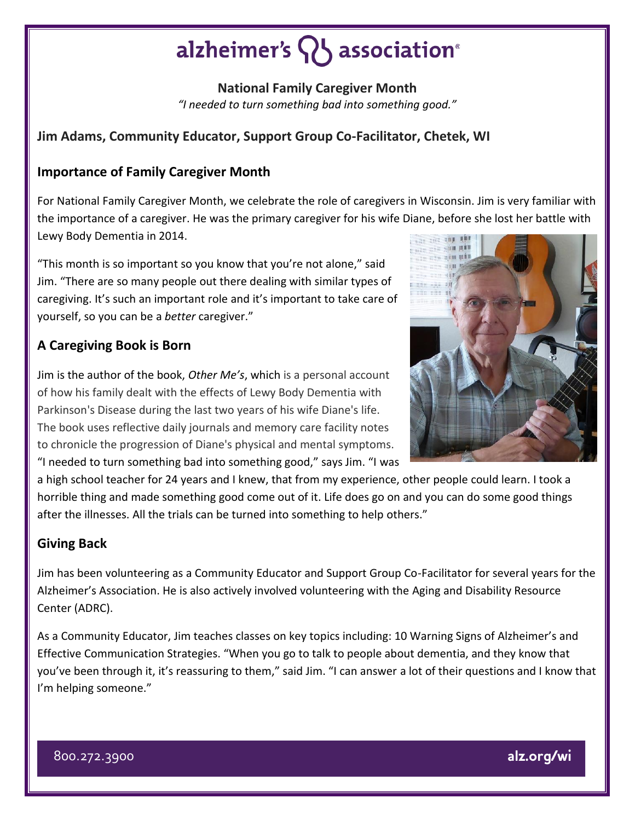# alzheimer's  $\{ \}$  association<sup>®</sup>

**National Family Caregiver Month** *"I needed to turn something bad into something good."*

## **Jim Adams, Community Educator, Support Group Co-Facilitator, Chetek, WI**

#### **Importance of Family Caregiver Month**

For National Family Caregiver Month, we celebrate the role of caregivers in Wisconsin. Jim is very familiar with the importance of a caregiver. He was the primary caregiver for his wife Diane, before she lost her battle with Lewy Body Dementia in 2014.

"This month is so important so you know that you're not alone," said Jim. "There are so many people out there dealing with similar types of caregiving. It's such an important role and it's important to take care of yourself, so you can be a *better* caregiver."

## **A Caregiving Book is Born**

Jim is the author of the book, *Other Me's*, which is a personal account of how his family dealt with the effects of Lewy Body Dementia with Parkinson's Disease during the last two years of his wife Diane's life. The book uses reflective daily journals and memory care facility notes to chronicle the progression of Diane's physical and mental symptoms. "I needed to turn something bad into something good," says Jim. "I was

a high school teacher for 24 years and I knew, that from my experience, other people could learn. I took a horrible thing and made something good come out of it. Life does go on and you can do some good things after the illnesses. All the trials can be turned into something to help others."

#### **Giving Back**

Jim has been volunteering as a Community Educator and Support Group Co-Facilitator for several years for the Alzheimer's Association. He is also actively involved volunteering with the Aging and Disability Resource Center (ADRC).

As a Community Educator, Jim teaches classes on key topics including: 10 Warning Signs of Alzheimer's and Effective Communication Strategies. "When you go to talk to people about dementia, and they know that you've been through it, it's reassuring to them," said Jim. "I can answer a lot of their questions and I know that I'm helping someone."



800.272.3900